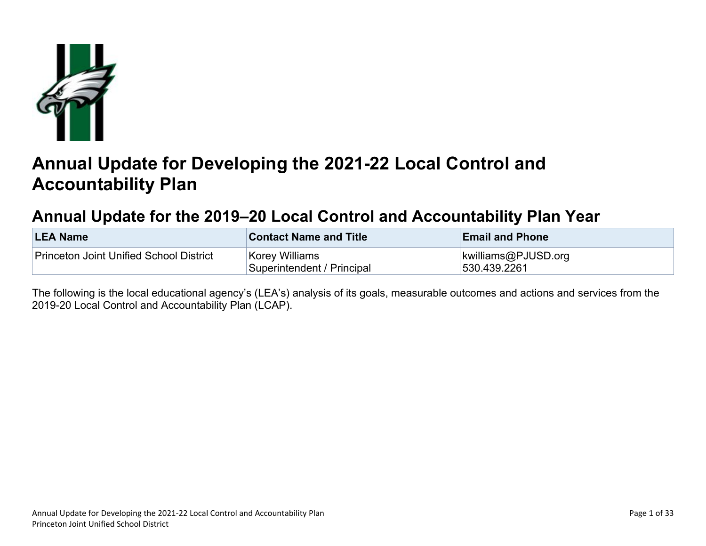

# **Annual Update for Developing the 2021-22 Local Control and Accountability Plan**

## **Annual Update for the 2019–20 Local Control and Accountability Plan Year**

| <b>LEA Name</b>                         | <b>Contact Name and Title</b>                | <b>Email and Phone</b>              |
|-----------------------------------------|----------------------------------------------|-------------------------------------|
| Princeton Joint Unified School District | Korey Williams<br>Superintendent / Principal | kwilliams@PJUSD.org<br>530.439.2261 |

The following is the local educational agency's (LEA's) analysis of its goals, measurable outcomes and actions and services from the 2019-20 Local Control and Accountability Plan (LCAP).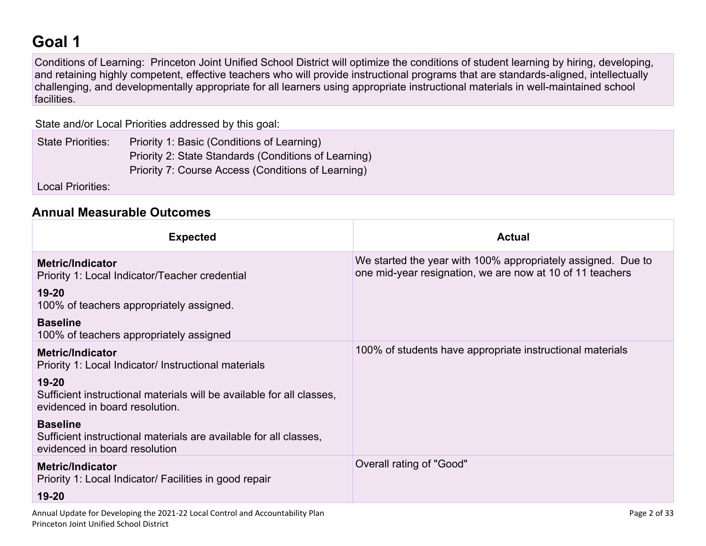# **Goal 1**

Conditions of Learning: Princeton Joint Unified School District will optimize the conditions of student learning by hiring, developing, and retaining highly competent, effective teachers who will provide instructional programs that are standards-aligned, intellectually challenging, and developmentally appropriate for all learners using appropriate instructional materials in well-maintained school facilities.

State and/or Local Priorities addressed by this goal:

State Priorities: Priority 1: Basic (Conditions of Learning) Priority 2: State Standards (Conditions of Learning) Priority 7: Course Access (Conditions of Learning)

Local Priorities:

#### **Annual Measurable Outcomes**

| <b>Expected</b>                                                                                                       | <b>Actual</b>                                                                                                             |
|-----------------------------------------------------------------------------------------------------------------------|---------------------------------------------------------------------------------------------------------------------------|
| <b>Metric/Indicator</b><br>Priority 1: Local Indicator/Teacher credential                                             | We started the year with 100% appropriately assigned. Due to<br>one mid-year resignation, we are now at 10 of 11 teachers |
| $19 - 20$<br>100% of teachers appropriately assigned.                                                                 |                                                                                                                           |
| <b>Baseline</b><br>100% of teachers appropriately assigned                                                            |                                                                                                                           |
| <b>Metric/Indicator</b><br>Priority 1: Local Indicator/ Instructional materials                                       | 100% of students have appropriate instructional materials                                                                 |
| $19 - 20$<br>Sufficient instructional materials will be available for all classes,<br>evidenced in board resolution.  |                                                                                                                           |
| <b>Baseline</b><br>Sufficient instructional materials are available for all classes,<br>evidenced in board resolution |                                                                                                                           |
| <b>Metric/Indicator</b><br>Priority 1: Local Indicator/ Facilities in good repair                                     | Overall rating of "Good"                                                                                                  |
| $19 - 20$                                                                                                             |                                                                                                                           |
| Annual Update for Developing the 2021-22 Local Control and Accountability Plan                                        | Page 2 of 33                                                                                                              |

Princeton Joint Unified School District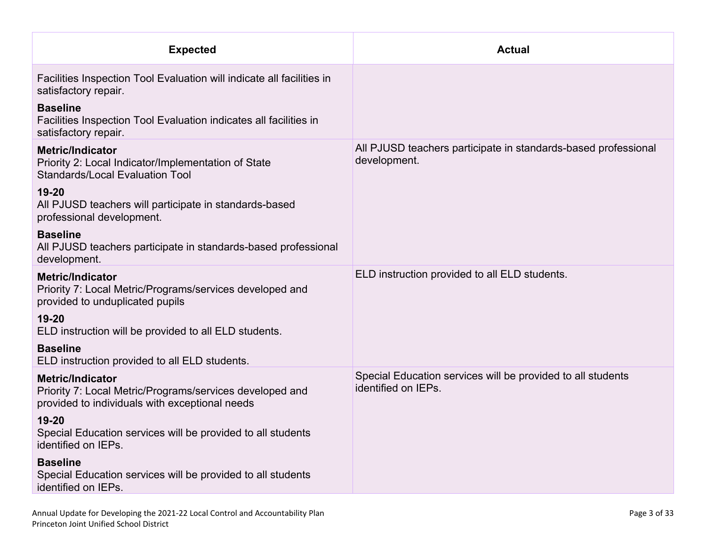| <b>Expected</b>                                                                                                                       | <b>Actual</b>                                                                      |
|---------------------------------------------------------------------------------------------------------------------------------------|------------------------------------------------------------------------------------|
| Facilities Inspection Tool Evaluation will indicate all facilities in<br>satisfactory repair.                                         |                                                                                    |
| <b>Baseline</b><br>Facilities Inspection Tool Evaluation indicates all facilities in<br>satisfactory repair.                          |                                                                                    |
| <b>Metric/Indicator</b><br>Priority 2: Local Indicator/Implementation of State<br><b>Standards/Local Evaluation Tool</b>              | All PJUSD teachers participate in standards-based professional<br>development.     |
| $19 - 20$<br>All PJUSD teachers will participate in standards-based<br>professional development.                                      |                                                                                    |
| <b>Baseline</b><br>All PJUSD teachers participate in standards-based professional<br>development.                                     |                                                                                    |
| <b>Metric/Indicator</b><br>Priority 7: Local Metric/Programs/services developed and<br>provided to unduplicated pupils                | ELD instruction provided to all ELD students.                                      |
| $19 - 20$<br>ELD instruction will be provided to all ELD students.                                                                    |                                                                                    |
| <b>Baseline</b><br>ELD instruction provided to all ELD students.                                                                      |                                                                                    |
| <b>Metric/Indicator</b><br>Priority 7: Local Metric/Programs/services developed and<br>provided to individuals with exceptional needs | Special Education services will be provided to all students<br>identified on IEPs. |
| $19 - 20$<br>Special Education services will be provided to all students<br>identified on IEPs.                                       |                                                                                    |
| <b>Baseline</b><br>Special Education services will be provided to all students<br>identified on IEPs.                                 |                                                                                    |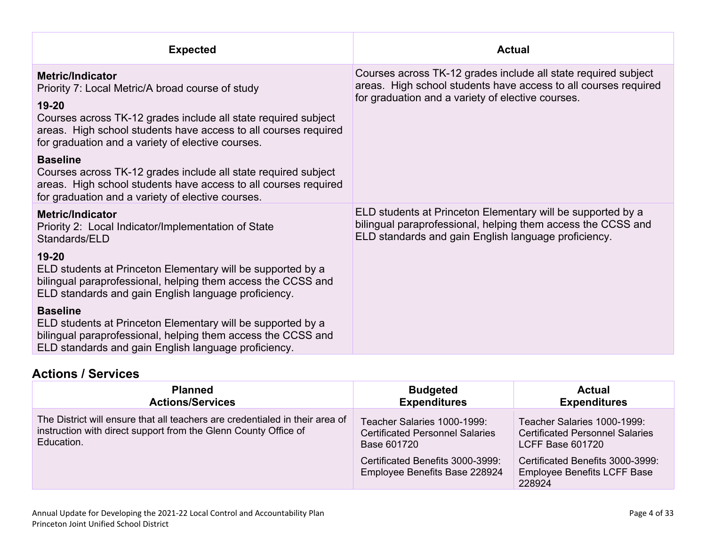| <b>Expected</b>                                                                                                                                                                                                                                                                | <b>Actual</b>                                                                                                                                                                          |
|--------------------------------------------------------------------------------------------------------------------------------------------------------------------------------------------------------------------------------------------------------------------------------|----------------------------------------------------------------------------------------------------------------------------------------------------------------------------------------|
| <b>Metric/Indicator</b><br>Priority 7: Local Metric/A broad course of study<br>19-20<br>Courses across TK-12 grades include all state required subject<br>areas. High school students have access to all courses required<br>for graduation and a variety of elective courses. | Courses across TK-12 grades include all state required subject<br>areas. High school students have access to all courses required<br>for graduation and a variety of elective courses. |
| <b>Baseline</b><br>Courses across TK-12 grades include all state required subject<br>areas. High school students have access to all courses required<br>for graduation and a variety of elective courses.                                                                      |                                                                                                                                                                                        |
| <b>Metric/Indicator</b><br>Priority 2: Local Indicator/Implementation of State<br>Standards/ELD                                                                                                                                                                                | ELD students at Princeton Elementary will be supported by a<br>bilingual paraprofessional, helping them access the CCSS and<br>ELD standards and gain English language proficiency.    |
| $19-20$<br>ELD students at Princeton Elementary will be supported by a<br>bilingual paraprofessional, helping them access the CCSS and<br>ELD standards and gain English language proficiency.                                                                                 |                                                                                                                                                                                        |
| <b>Baseline</b><br>ELD students at Princeton Elementary will be supported by a<br>bilingual paraprofessional, helping them access the CCSS and<br>ELD standards and gain English language proficiency.                                                                         |                                                                                                                                                                                        |

### **Actions / Services**

| <b>Planned</b>                                                                                                                                                | <b>Budgeted</b>                                                                                                                                           | <b>Actual</b>                                                                                                                                                                        |
|---------------------------------------------------------------------------------------------------------------------------------------------------------------|-----------------------------------------------------------------------------------------------------------------------------------------------------------|--------------------------------------------------------------------------------------------------------------------------------------------------------------------------------------|
| <b>Actions/Services</b>                                                                                                                                       | <b>Expenditures</b>                                                                                                                                       | <b>Expenditures</b>                                                                                                                                                                  |
| The District will ensure that all teachers are credentialed in their area of<br>instruction with direct support from the Glenn County Office of<br>Education. | Teacher Salaries 1000-1999:<br><b>Certificated Personnel Salaries</b><br>Base 601720<br>Certificated Benefits 3000-3999:<br>Employee Benefits Base 228924 | Teacher Salaries 1000-1999:<br><b>Certificated Personnel Salaries</b><br><b>LCFF Base 601720</b><br>Certificated Benefits 3000-3999:<br><b>Employee Benefits LCFF Base</b><br>228924 |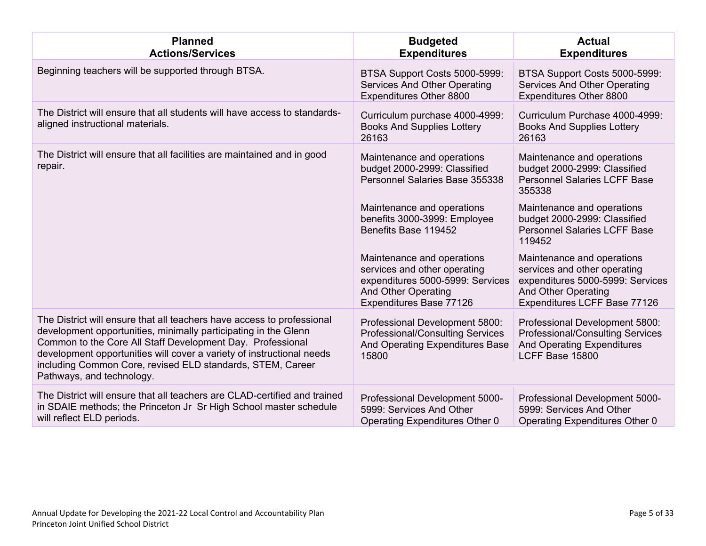| <b>Planned</b><br><b>Actions/Services</b>                                                                                                                                                                                                                                                                                                                                   | <b>Budgeted</b><br><b>Expenditures</b>                                                                                                           | <b>Actual</b><br><b>Expenditures</b>                                                                                                                         |
|-----------------------------------------------------------------------------------------------------------------------------------------------------------------------------------------------------------------------------------------------------------------------------------------------------------------------------------------------------------------------------|--------------------------------------------------------------------------------------------------------------------------------------------------|--------------------------------------------------------------------------------------------------------------------------------------------------------------|
| Beginning teachers will be supported through BTSA.                                                                                                                                                                                                                                                                                                                          | BTSA Support Costs 5000-5999:<br><b>Services And Other Operating</b><br>Expenditures Other 8800                                                  | BTSA Support Costs 5000-5999:<br>Services And Other Operating<br>Expenditures Other 8800                                                                     |
| The District will ensure that all students will have access to standards-<br>aligned instructional materials.                                                                                                                                                                                                                                                               | Curriculum purchase 4000-4999:<br><b>Books And Supplies Lottery</b><br>26163                                                                     | Curriculum Purchase 4000-4999:<br><b>Books And Supplies Lottery</b><br>26163                                                                                 |
| The District will ensure that all facilities are maintained and in good<br>repair.                                                                                                                                                                                                                                                                                          | Maintenance and operations<br>budget 2000-2999: Classified<br>Personnel Salaries Base 355338                                                     | Maintenance and operations<br>budget 2000-2999: Classified<br><b>Personnel Salaries LCFF Base</b><br>355338                                                  |
|                                                                                                                                                                                                                                                                                                                                                                             | Maintenance and operations<br>benefits 3000-3999: Employee<br>Benefits Base 119452                                                               | Maintenance and operations<br>budget 2000-2999: Classified<br><b>Personnel Salaries LCFF Base</b><br>119452                                                  |
|                                                                                                                                                                                                                                                                                                                                                                             | Maintenance and operations<br>services and other operating<br>expenditures 5000-5999: Services<br>And Other Operating<br>Expenditures Base 77126 | Maintenance and operations<br>services and other operating<br>expenditures 5000-5999: Services<br><b>And Other Operating</b><br>Expenditures LCFF Base 77126 |
| The District will ensure that all teachers have access to professional<br>development opportunities, minimally participating in the Glenn<br>Common to the Core All Staff Development Day. Professional<br>development opportunities will cover a variety of instructional needs<br>including Common Core, revised ELD standards, STEM, Career<br>Pathways, and technology. | Professional Development 5800:<br><b>Professional/Consulting Services</b><br>And Operating Expenditures Base<br>15800                            | Professional Development 5800:<br><b>Professional/Consulting Services</b><br><b>And Operating Expenditures</b><br>LCFF Base 15800                            |
| The District will ensure that all teachers are CLAD-certified and trained<br>in SDAIE methods; the Princeton Jr Sr High School master schedule<br>will reflect ELD periods.                                                                                                                                                                                                 | Professional Development 5000-<br>5999: Services And Other<br>Operating Expenditures Other 0                                                     | Professional Development 5000-<br>5999: Services And Other<br>Operating Expenditures Other 0                                                                 |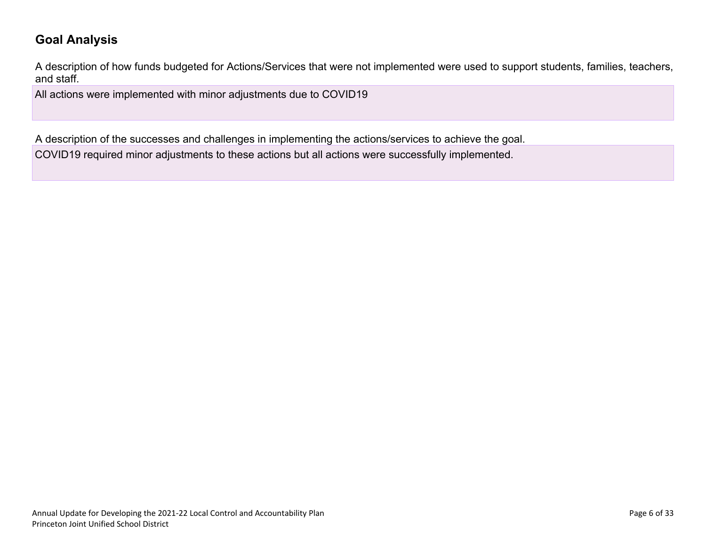### **Goal Analysis**

A description of how funds budgeted for Actions/Services that were not implemented were used to support students, families, teachers, and staff.

All actions were implemented with minor adjustments due to COVID19

A description of the successes and challenges in implementing the actions/services to achieve the goal.

COVID19 required minor adjustments to these actions but all actions were successfully implemented.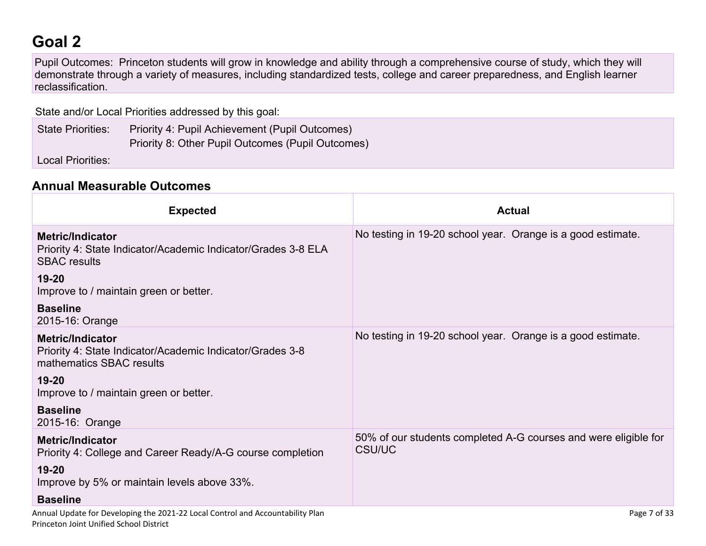# **Goal 2**

Pupil Outcomes: Princeton students will grow in knowledge and ability through a comprehensive course of study, which they will demonstrate through a variety of measures, including standardized tests, college and career preparedness, and English learner reclassification.

State and/or Local Priorities addressed by this goal:

| <b>State Priorities:</b> | Priority 4: Pupil Achievement (Pupil Outcomes)    |
|--------------------------|---------------------------------------------------|
|                          | Priority 8: Other Pupil Outcomes (Pupil Outcomes) |

Local Priorities:

#### **Annual Measurable Outcomes**

| <b>Expected</b>                                                                                                                  | <b>Actual</b>                                                                    |
|----------------------------------------------------------------------------------------------------------------------------------|----------------------------------------------------------------------------------|
| <b>Metric/Indicator</b><br>Priority 4: State Indicator/Academic Indicator/Grades 3-8 ELA<br><b>SBAC</b> results                  | No testing in 19-20 school year. Orange is a good estimate.                      |
| $19 - 20$<br>Improve to / maintain green or better.                                                                              |                                                                                  |
| <b>Baseline</b><br>2015-16: Orange                                                                                               |                                                                                  |
| <b>Metric/Indicator</b><br>Priority 4: State Indicator/Academic Indicator/Grades 3-8<br>mathematics SBAC results                 | No testing in 19-20 school year. Orange is a good estimate.                      |
| $19 - 20$<br>Improve to / maintain green or better.                                                                              |                                                                                  |
| <b>Baseline</b><br>2015-16: Orange                                                                                               |                                                                                  |
| <b>Metric/Indicator</b><br>Priority 4: College and Career Ready/A-G course completion                                            | 50% of our students completed A-G courses and were eligible for<br><b>CSU/UC</b> |
| $19 - 20$<br>Improve by 5% or maintain levels above 33%.                                                                         |                                                                                  |
| <b>Baseline</b>                                                                                                                  |                                                                                  |
| Annual Update for Developing the 2021-22 Local Control and Accountability Plan<br><b>Princeton Joint Unified School District</b> | Page 7 of 33                                                                     |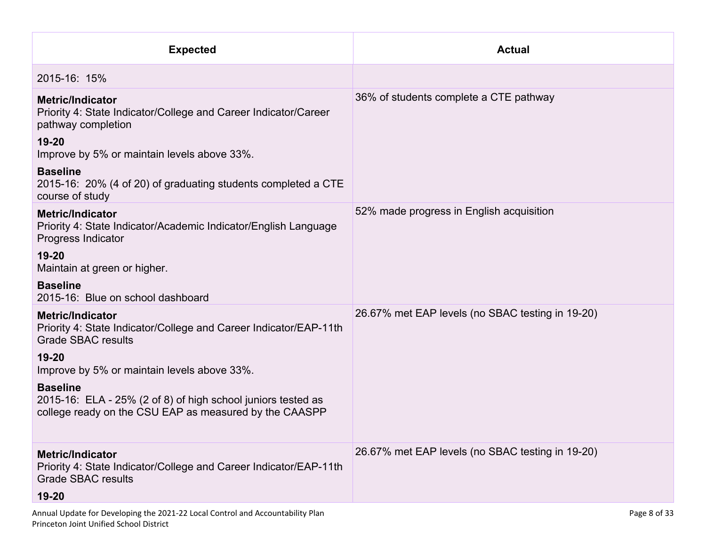| <b>Actual</b>                                                 |
|---------------------------------------------------------------|
|                                                               |
| 36% of students complete a CTE pathway                        |
|                                                               |
|                                                               |
| 52% made progress in English acquisition                      |
|                                                               |
|                                                               |
| 26.67% met EAP levels (no SBAC testing in 19-20)              |
|                                                               |
|                                                               |
| 26.67% met EAP levels (no SBAC testing in 19-20)              |
| Page 8 of 33                                                  |
| 2015-16: 20% (4 of 20) of graduating students completed a CTE |

Princeton Joint Unified School District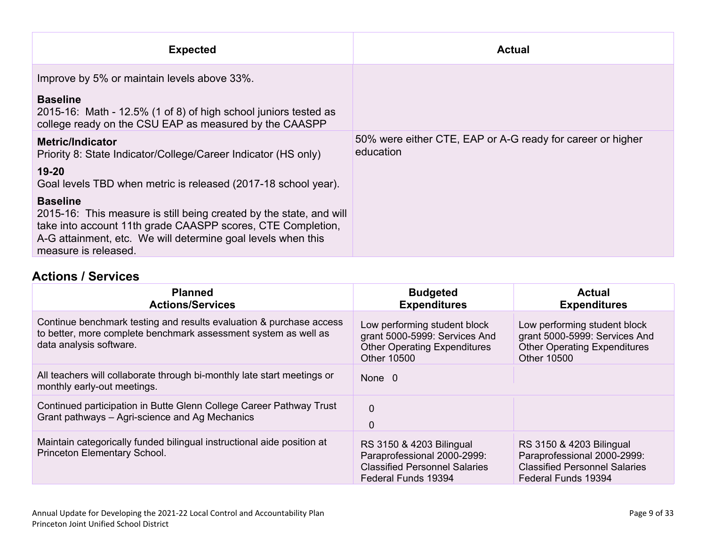| <b>Expected</b>                                                                                                                                                                                                                               | <b>Actual</b>                                                           |
|-----------------------------------------------------------------------------------------------------------------------------------------------------------------------------------------------------------------------------------------------|-------------------------------------------------------------------------|
| Improve by 5% or maintain levels above 33%.                                                                                                                                                                                                   |                                                                         |
| <b>Baseline</b><br>2015-16: Math - 12.5% (1 of 8) of high school juniors tested as<br>college ready on the CSU EAP as measured by the CAASPP                                                                                                  |                                                                         |
| Metric/Indicator<br>Priority 8: State Indicator/College/Career Indicator (HS only)                                                                                                                                                            | 50% were either CTE, EAP or A-G ready for career or higher<br>education |
| 19-20<br>Goal levels TBD when metric is released (2017-18 school year).                                                                                                                                                                       |                                                                         |
| <b>Baseline</b><br>2015-16: This measure is still being created by the state, and will<br>take into account 11th grade CAASPP scores, CTE Completion,<br>A-G attainment, etc. We will determine goal levels when this<br>measure is released. |                                                                         |

#### **Actions / Services**

| <b>Planned</b><br><b>Actions/Services</b>                                                                                                                         | <b>Budgeted</b><br><b>Expenditures</b>                                                                                 | <b>Actual</b><br><b>Expenditures</b>                                                                                   |
|-------------------------------------------------------------------------------------------------------------------------------------------------------------------|------------------------------------------------------------------------------------------------------------------------|------------------------------------------------------------------------------------------------------------------------|
| Continue benchmark testing and results evaluation & purchase access<br>to better, more complete benchmark assessment system as well as<br>data analysis software. | Low performing student block<br>grant 5000-5999: Services And<br><b>Other Operating Expenditures</b><br>Other 10500    | Low performing student block<br>grant 5000-5999: Services And<br><b>Other Operating Expenditures</b><br>Other 10500    |
| All teachers will collaborate through bi-monthly late start meetings or<br>monthly early-out meetings.                                                            | None 0                                                                                                                 |                                                                                                                        |
| Continued participation in Butte Glenn College Career Pathway Trust<br>Grant pathways - Agri-science and Ag Mechanics                                             | $\mathbf{0}$<br>0                                                                                                      |                                                                                                                        |
| Maintain categorically funded bilingual instructional aide position at<br>Princeton Elementary School.                                                            | RS 3150 & 4203 Bilingual<br>Paraprofessional 2000-2999:<br><b>Classified Personnel Salaries</b><br>Federal Funds 19394 | RS 3150 & 4203 Bilingual<br>Paraprofessional 2000-2999:<br><b>Classified Personnel Salaries</b><br>Federal Funds 19394 |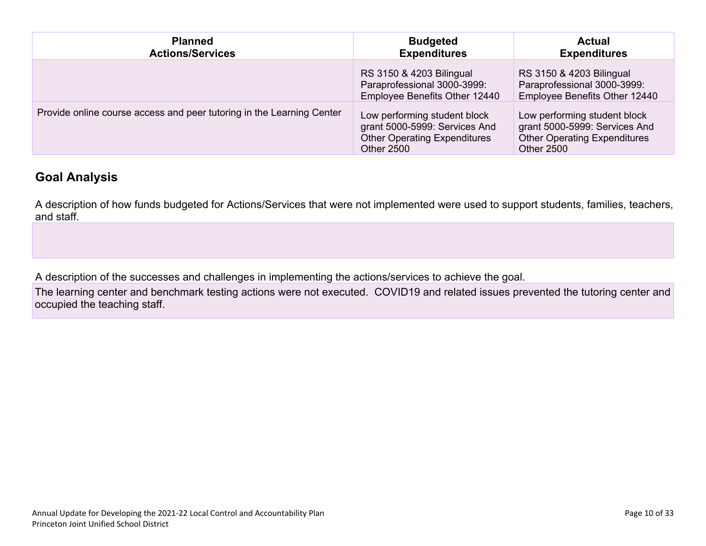| <b>Planned</b><br><b>Actions/Services</b>                             | <b>Budgeted</b><br><b>Expenditures</b>                                                                                    | <b>Actual</b><br><b>Expenditures</b>                                                                               |
|-----------------------------------------------------------------------|---------------------------------------------------------------------------------------------------------------------------|--------------------------------------------------------------------------------------------------------------------|
|                                                                       | RS 3150 & 4203 Bilingual<br>Paraprofessional 3000-3999:<br>Employee Benefits Other 12440                                  | RS 3150 & 4203 Bilingual<br>Paraprofessional 3000-3999:<br>Employee Benefits Other 12440                           |
| Provide online course access and peer tutoring in the Learning Center | Low performing student block<br>grant 5000-5999: Services And<br><b>Other Operating Expenditures</b><br><b>Other 2500</b> | Low performing student block<br>grant 5000-5999: Services And<br><b>Other Operating Expenditures</b><br>Other 2500 |

#### **Goal Analysis**

A description of how funds budgeted for Actions/Services that were not implemented were used to support students, families, teachers, and staff.

A description of the successes and challenges in implementing the actions/services to achieve the goal.

The learning center and benchmark testing actions were not executed. COVID19 and related issues prevented the tutoring center and occupied the teaching staff.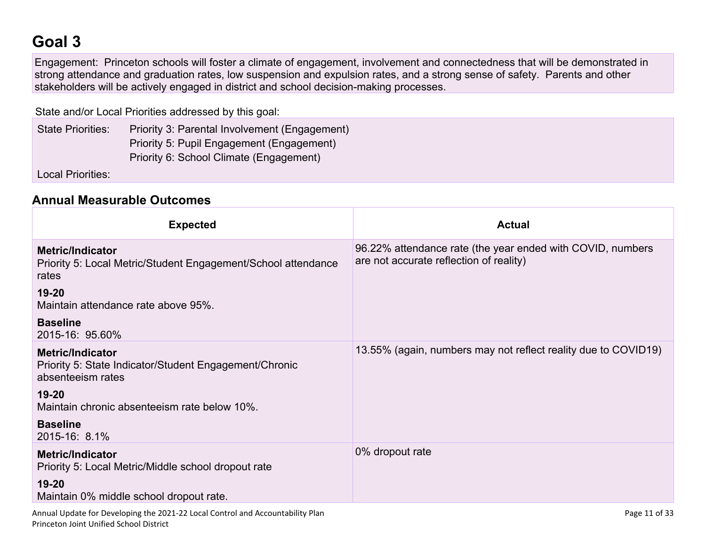# **Goal 3**

Engagement: Princeton schools will foster a climate of engagement, involvement and connectedness that will be demonstrated in strong attendance and graduation rates, low suspension and expulsion rates, and a strong sense of safety. Parents and other stakeholders will be actively engaged in district and school decision-making processes.

State and/or Local Priorities addressed by this goal:

| <b>State Priorities:</b> | Priority 3: Parental Involvement (Engagement) |
|--------------------------|-----------------------------------------------|
|                          | Priority 5: Pupil Engagement (Engagement)     |
|                          | Priority 6: School Climate (Engagement)       |

Local Priorities:

#### **Annual Measurable Outcomes**

Princeton Joint Unified School District

| <b>Expected</b>                                                                                        | <b>Actual</b>                                                                                         |
|--------------------------------------------------------------------------------------------------------|-------------------------------------------------------------------------------------------------------|
| <b>Metric/Indicator</b><br>Priority 5: Local Metric/Student Engagement/School attendance<br>rates      | 96.22% attendance rate (the year ended with COVID, numbers<br>are not accurate reflection of reality) |
| 19-20<br>Maintain attendance rate above 95%.                                                           |                                                                                                       |
| <b>Baseline</b><br>2015-16: 95.60%                                                                     |                                                                                                       |
| <b>Metric/Indicator</b><br>Priority 5: State Indicator/Student Engagement/Chronic<br>absenteeism rates | 13.55% (again, numbers may not reflect reality due to COVID19)                                        |
| $19 - 20$<br>Maintain chronic absenteeism rate below 10%.                                              |                                                                                                       |
| <b>Baseline</b><br>2015-16: 8.1%                                                                       |                                                                                                       |
| <b>Metric/Indicator</b><br>Priority 5: Local Metric/Middle school dropout rate                         | 0% dropout rate                                                                                       |
| $19 - 20$<br>Maintain 0% middle school dropout rate.                                                   |                                                                                                       |
| Annual Update for Developing the 2021-22 Local Control and Accountability Plan                         | Page 11 of 33                                                                                         |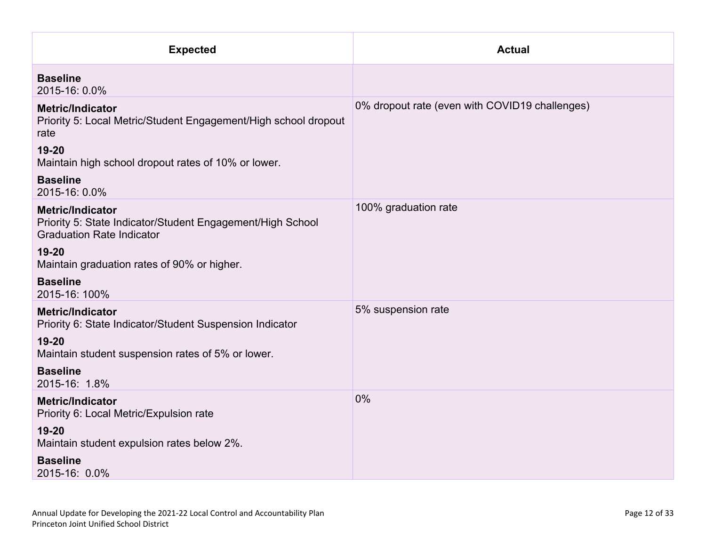| <b>Expected</b>                                                                                                           | <b>Actual</b>                                  |
|---------------------------------------------------------------------------------------------------------------------------|------------------------------------------------|
| <b>Baseline</b><br>2015-16: 0.0%                                                                                          |                                                |
| <b>Metric/Indicator</b><br>Priority 5: Local Metric/Student Engagement/High school dropout<br>rate                        | 0% dropout rate (even with COVID19 challenges) |
| 19-20<br>Maintain high school dropout rates of 10% or lower.                                                              |                                                |
| <b>Baseline</b><br>2015-16: 0.0%                                                                                          |                                                |
| <b>Metric/Indicator</b><br>Priority 5: State Indicator/Student Engagement/High School<br><b>Graduation Rate Indicator</b> | 100% graduation rate                           |
| 19-20<br>Maintain graduation rates of 90% or higher.                                                                      |                                                |
| <b>Baseline</b><br>2015-16: 100%                                                                                          |                                                |
| <b>Metric/Indicator</b><br>Priority 6: State Indicator/Student Suspension Indicator                                       | 5% suspension rate                             |
| 19-20<br>Maintain student suspension rates of 5% or lower.                                                                |                                                |
| <b>Baseline</b><br>2015-16: 1.8%                                                                                          |                                                |
| <b>Metric/Indicator</b><br>Priority 6: Local Metric/Expulsion rate                                                        | 0%                                             |
| 19-20<br>Maintain student expulsion rates below 2%.                                                                       |                                                |
| <b>Baseline</b><br>2015-16: 0.0%                                                                                          |                                                |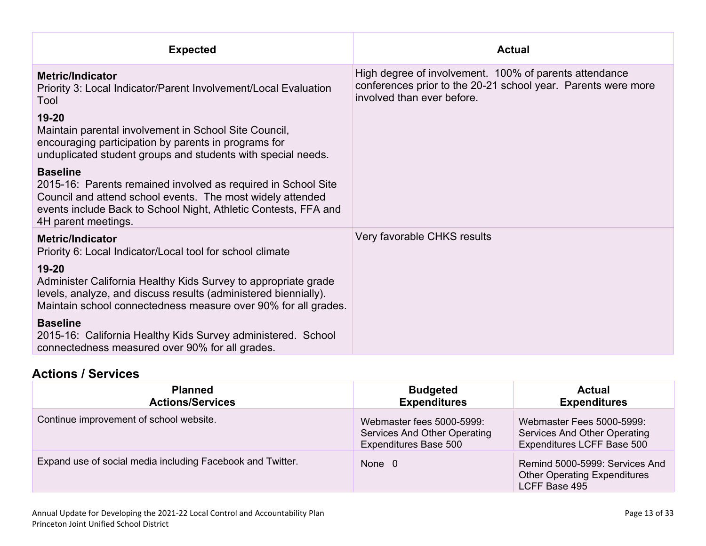| <b>Expected</b>                                                                                                                                                                                                                          | <b>Actual</b>                                                                                                                                         |
|------------------------------------------------------------------------------------------------------------------------------------------------------------------------------------------------------------------------------------------|-------------------------------------------------------------------------------------------------------------------------------------------------------|
| <b>Metric/Indicator</b><br>Priority 3: Local Indicator/Parent Involvement/Local Evaluation<br>Tool                                                                                                                                       | High degree of involvement. 100% of parents attendance<br>conferences prior to the 20-21 school year. Parents were more<br>involved than ever before. |
| $19 - 20$<br>Maintain parental involvement in School Site Council,<br>encouraging participation by parents in programs for<br>unduplicated student groups and students with special needs.                                               |                                                                                                                                                       |
| <b>Baseline</b><br>2015-16: Parents remained involved as required in School Site<br>Council and attend school events. The most widely attended<br>events include Back to School Night, Athletic Contests, FFA and<br>4H parent meetings. |                                                                                                                                                       |
| <b>Metric/Indicator</b><br>Priority 6: Local Indicator/Local tool for school climate                                                                                                                                                     | Very favorable CHKS results                                                                                                                           |
| 19-20<br>Administer California Healthy Kids Survey to appropriate grade<br>levels, analyze, and discuss results (administered biennially).<br>Maintain school connectedness measure over 90% for all grades.                             |                                                                                                                                                       |
| <b>Baseline</b><br>2015-16: California Healthy Kids Survey administered. School<br>connectedness measured over 90% for all grades.                                                                                                       |                                                                                                                                                       |

### **Actions / Services**

| <b>Planned</b><br><b>Actions/Services</b>                  | <b>Budgeted</b><br><b>Expenditures</b>                                             | <b>Actual</b><br><b>Expenditures</b>                                                    |
|------------------------------------------------------------|------------------------------------------------------------------------------------|-----------------------------------------------------------------------------------------|
| Continue improvement of school website.                    | Webmaster fees 5000-5999:<br>Services And Other Operating<br>Expenditures Base 500 | Webmaster Fees 5000-5999:<br>Services And Other Operating<br>Expenditures LCFF Base 500 |
| Expand use of social media including Facebook and Twitter. | None 0                                                                             | Remind 5000-5999: Services And<br><b>Other Operating Expenditures</b><br>LCFF Base 495  |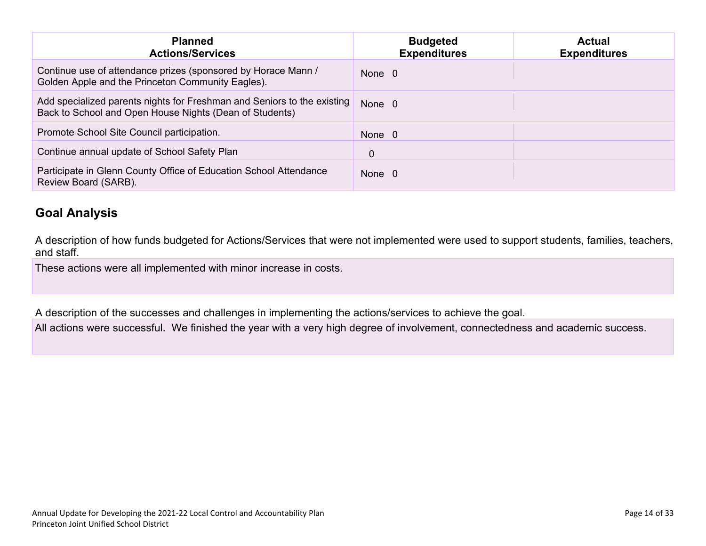| <b>Planned</b><br><b>Actions/Services</b>                                                                                          | <b>Budgeted</b><br><b>Expenditures</b> | <b>Actual</b><br><b>Expenditures</b> |
|------------------------------------------------------------------------------------------------------------------------------------|----------------------------------------|--------------------------------------|
| Continue use of attendance prizes (sponsored by Horace Mann /<br>Golden Apple and the Princeton Community Eagles).                 | None 0                                 |                                      |
| Add specialized parents nights for Freshman and Seniors to the existing<br>Back to School and Open House Nights (Dean of Students) | None 0                                 |                                      |
| Promote School Site Council participation.                                                                                         | None 0                                 |                                      |
| Continue annual update of School Safety Plan                                                                                       | 0                                      |                                      |
| Participate in Glenn County Office of Education School Attendance<br>Review Board (SARB).                                          | None 0                                 |                                      |

### **Goal Analysis**

A description of how funds budgeted for Actions/Services that were not implemented were used to support students, families, teachers, and staff.

These actions were all implemented with minor increase in costs.

A description of the successes and challenges in implementing the actions/services to achieve the goal.

All actions were successful. We finished the year with a very high degree of involvement, connectedness and academic success.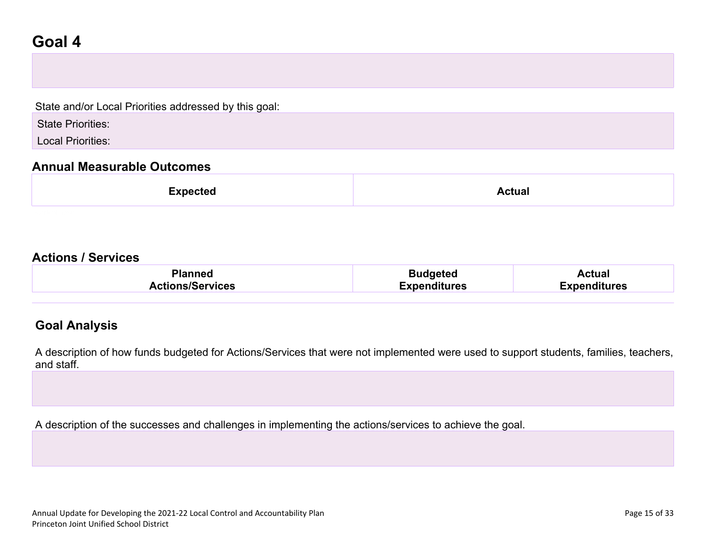### **Goal 4**

State and/or Local Priorities addressed by this goal:

State Priorities:

Local Priorities:

#### **Annual Measurable Outcomes**

|--|--|

#### **Actions / Services**

| Planned                 | <b>Budgeted</b>     | <b>\ctual</b>       |
|-------------------------|---------------------|---------------------|
| <b>Actions/Services</b> | <b>Expenditures</b> | <b>Expenditures</b> |

#### **Goal Analysis**

A description of how funds budgeted for Actions/Services that were not implemented were used to support students, families, teachers, and staff.

A description of the successes and challenges in implementing the actions/services to achieve the goal.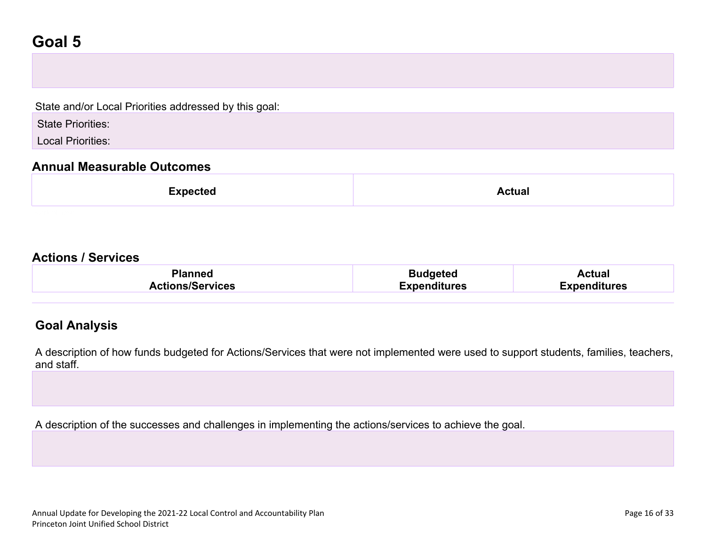### **Goal 5**

State and/or Local Priorities addressed by this goal:

State Priorities:

Local Priorities:

#### **Annual Measurable Outcomes**

| <b>Expected</b> | <b>Actual</b> |
|-----------------|---------------|
|-----------------|---------------|

#### **Actions / Services**

| <b>Planned</b>          | <b>Budgeted</b>     | Actual              |
|-------------------------|---------------------|---------------------|
| <b>Actions/Services</b> | <b>Expenditures</b> | <b>Expenditures</b> |

#### **Goal Analysis**

A description of how funds budgeted for Actions/Services that were not implemented were used to support students, families, teachers, and staff.

A description of the successes and challenges in implementing the actions/services to achieve the goal.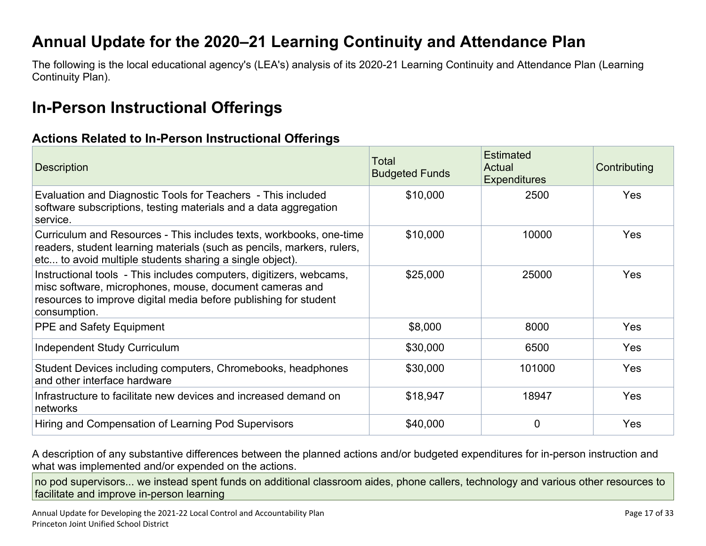### **Annual Update for the 2020–21 Learning Continuity and Attendance Plan**

The following is the local educational agency's (LEA's) analysis of its 2020-21 Learning Continuity and Attendance Plan (Learning Continuity Plan).

### **In-Person Instructional Offerings**

#### **Actions Related to In-Person Instructional Offerings**

| <b>Description</b>                                                                                                                                                                                                 | Total<br><b>Budgeted Funds</b> | <b>Estimated</b><br>Actual<br><b>Expenditures</b> | Contributing |
|--------------------------------------------------------------------------------------------------------------------------------------------------------------------------------------------------------------------|--------------------------------|---------------------------------------------------|--------------|
| Evaluation and Diagnostic Tools for Teachers - This included<br>software subscriptions, testing materials and a data aggregation<br>service.                                                                       | \$10,000                       | 2500                                              | Yes          |
| Curriculum and Resources - This includes texts, workbooks, one-time<br>readers, student learning materials (such as pencils, markers, rulers,<br>etc to avoid multiple students sharing a single object).          | \$10,000                       | 10000                                             | Yes          |
| Instructional tools - This includes computers, digitizers, webcams,<br>misc software, microphones, mouse, document cameras and<br>resources to improve digital media before publishing for student<br>consumption. | \$25,000                       | 25000                                             | Yes          |
| <b>PPE and Safety Equipment</b>                                                                                                                                                                                    | \$8,000                        | 8000                                              | Yes          |
| Independent Study Curriculum                                                                                                                                                                                       | \$30,000                       | 6500                                              | Yes          |
| Student Devices including computers, Chromebooks, headphones<br>and other interface hardware                                                                                                                       | \$30,000                       | 101000                                            | Yes          |
| Infrastructure to facilitate new devices and increased demand on<br>networks                                                                                                                                       | \$18,947                       | 18947                                             | Yes          |
| Hiring and Compensation of Learning Pod Supervisors                                                                                                                                                                | \$40,000                       | $\overline{0}$                                    | Yes          |

A description of any substantive differences between the planned actions and/or budgeted expenditures for in-person instruction and what was implemented and/or expended on the actions.

no pod supervisors... we instead spent funds on additional classroom aides, phone callers, technology and various other resources to facilitate and improve in-person learning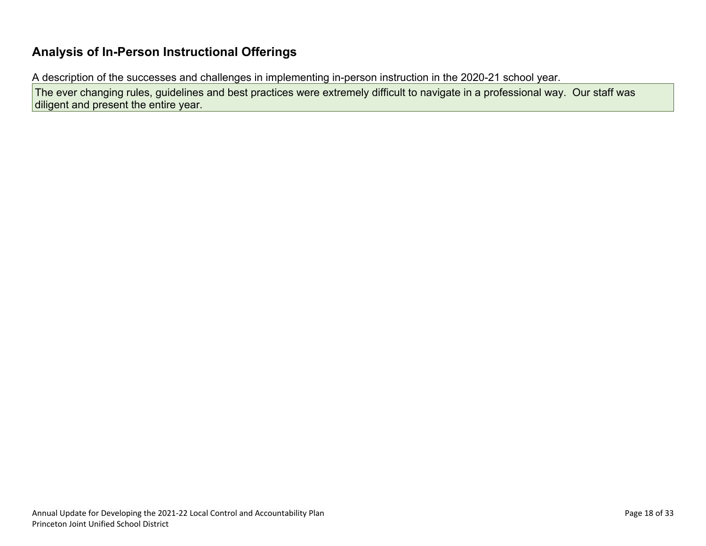#### **Analysis of In-Person Instructional Offerings**

A description of the successes and challenges in implementing in-person instruction in the 2020-21 school year.

The ever changing rules, guidelines and best practices were extremely difficult to navigate in a professional way. Our staff was diligent and present the entire year.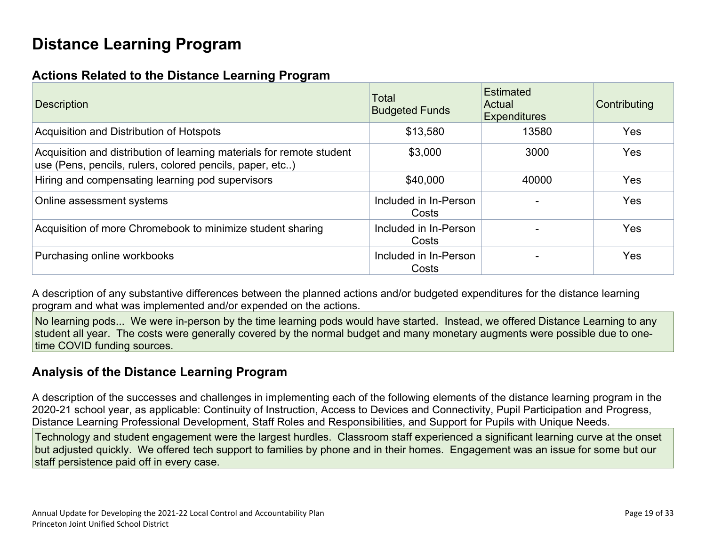## **Distance Learning Program**

### **Actions Related to the Distance Learning Program**

| <b>Description</b>                                                                                                                | <b>Total</b><br><b>Budgeted Funds</b> | <b>Estimated</b><br>Actual<br><b>Expenditures</b> | Contributing |
|-----------------------------------------------------------------------------------------------------------------------------------|---------------------------------------|---------------------------------------------------|--------------|
| Acquisition and Distribution of Hotspots                                                                                          | \$13,580                              | 13580                                             | <b>Yes</b>   |
| Acquisition and distribution of learning materials for remote student<br>use (Pens, pencils, rulers, colored pencils, paper, etc) | \$3,000                               | 3000                                              | Yes          |
| Hiring and compensating learning pod supervisors                                                                                  | \$40,000                              | 40000                                             | <b>Yes</b>   |
| Online assessment systems                                                                                                         | Included in In-Person<br>Costs        |                                                   | <b>Yes</b>   |
| Acquisition of more Chromebook to minimize student sharing                                                                        | Included in In-Person<br>Costs        |                                                   | <b>Yes</b>   |
| Purchasing online workbooks                                                                                                       | Included in In-Person<br>Costs        |                                                   | Yes          |

A description of any substantive differences between the planned actions and/or budgeted expenditures for the distance learning program and what was implemented and/or expended on the actions.

No learning pods... We were in-person by the time learning pods would have started. Instead, we offered Distance Learning to any student all year. The costs were generally covered by the normal budget and many monetary augments were possible due to onetime COVID funding sources.

### **Analysis of the Distance Learning Program**

A description of the successes and challenges in implementing each of the following elements of the distance learning program in the 2020-21 school year, as applicable: Continuity of Instruction, Access to Devices and Connectivity, Pupil Participation and Progress, Distance Learning Professional Development, Staff Roles and Responsibilities, and Support for Pupils with Unique Needs.

Technology and student engagement were the largest hurdles. Classroom staff experienced a significant learning curve at the onset but adjusted quickly. We offered tech support to families by phone and in their homes. Engagement was an issue for some but our staff persistence paid off in every case.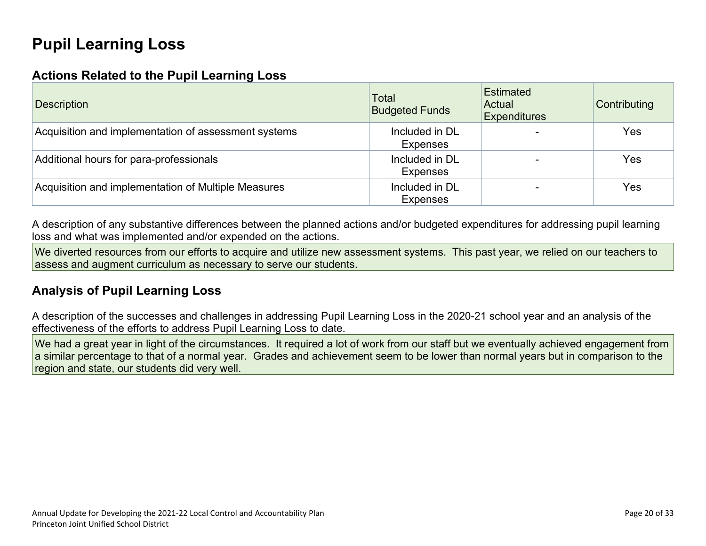# **Pupil Learning Loss**

#### **Actions Related to the Pupil Learning Loss**

| <b>Description</b>                                   | Total<br><b>Budgeted Funds</b>    | <b>Estimated</b><br>Actual<br><b>Expenditures</b> | Contributing |
|------------------------------------------------------|-----------------------------------|---------------------------------------------------|--------------|
| Acquisition and implementation of assessment systems | Included in DL<br>Expenses        |                                                   | Yes          |
| Additional hours for para-professionals              | Included in DL<br>Expenses        |                                                   | Yes          |
| Acquisition and implementation of Multiple Measures  | Included in DL<br><b>Expenses</b> |                                                   | Yes          |

A description of any substantive differences between the planned actions and/or budgeted expenditures for addressing pupil learning loss and what was implemented and/or expended on the actions.

We diverted resources from our efforts to acquire and utilize new assessment systems. This past year, we relied on our teachers to assess and augment curriculum as necessary to serve our students.

#### **Analysis of Pupil Learning Loss**

A description of the successes and challenges in addressing Pupil Learning Loss in the 2020-21 school year and an analysis of the effectiveness of the efforts to address Pupil Learning Loss to date.

We had a great year in light of the circumstances. It required a lot of work from our staff but we eventually achieved engagement from a similar percentage to that of a normal year. Grades and achievement seem to be lower than normal years but in comparison to the region and state, our students did very well.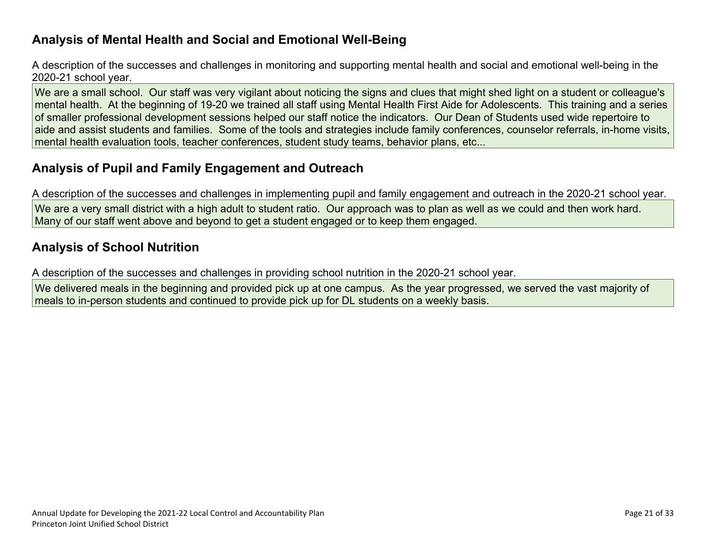#### **Analysis of Mental Health and Social and Emotional Well-Being**

A description of the successes and challenges in monitoring and supporting mental health and social and emotional well-being in the 2020-21 school year.

We are a small school. Our staff was very vigilant about noticing the signs and clues that might shed light on a student or colleague's mental health. At the beginning of 19-20 we trained all staff using Mental Health First Aide for Adolescents. This training and a series of smaller professional development sessions helped our staff notice the indicators. Our Dean of Students used wide repertoire to aide and assist students and families. Some of the tools and strategies include family conferences, counselor referrals, in-home visits, mental health evaluation tools, teacher conferences, student study teams, behavior plans, etc...

### **Analysis of Pupil and Family Engagement and Outreach**

A description of the successes and challenges in implementing pupil and family engagement and outreach in the 2020-21 school year. We are a very small district with a high adult to student ratio. Our approach was to plan as well as we could and then work hard. Many of our staff went above and beyond to get a student engaged or to keep them engaged.

### **Analysis of School Nutrition**

A description of the successes and challenges in providing school nutrition in the 2020-21 school year.

We delivered meals in the beginning and provided pick up at one campus. As the year progressed, we served the vast majority of meals to in-person students and continued to provide pick up for DL students on a weekly basis.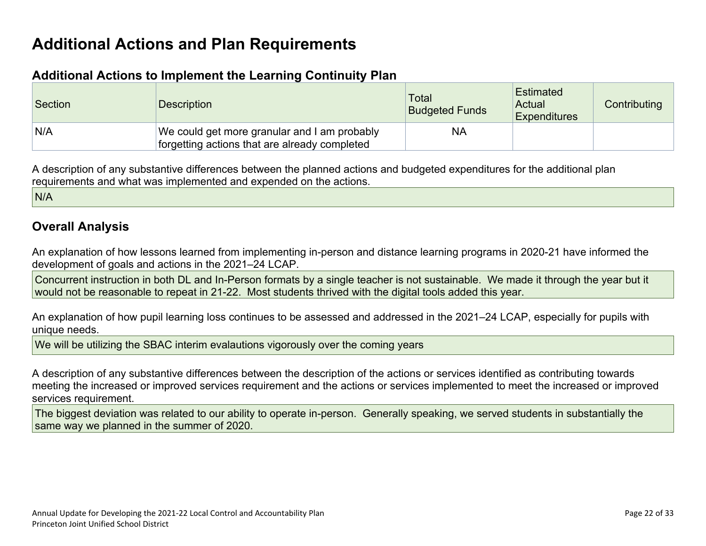### **Additional Actions and Plan Requirements**

#### **Additional Actions to Implement the Learning Continuity Plan**

| Section | <b>Description</b>                                                                            | Total<br><b>Budgeted Funds</b> | <b>Estimated</b><br>Actual<br><b>Expenditures</b> | Contributing |
|---------|-----------------------------------------------------------------------------------------------|--------------------------------|---------------------------------------------------|--------------|
| N/A     | We could get more granular and I am probably<br>forgetting actions that are already completed | <b>NA</b>                      |                                                   |              |

A description of any substantive differences between the planned actions and budgeted expenditures for the additional plan requirements and what was implemented and expended on the actions.

N/A

#### **Overall Analysis**

An explanation of how lessons learned from implementing in-person and distance learning programs in 2020-21 have informed the development of goals and actions in the 2021–24 LCAP.

Concurrent instruction in both DL and In-Person formats by a single teacher is not sustainable. We made it through the year but it would not be reasonable to repeat in 21-22. Most students thrived with the digital tools added this year.

An explanation of how pupil learning loss continues to be assessed and addressed in the 2021–24 LCAP, especially for pupils with unique needs.

We will be utilizing the SBAC interim evalautions vigorously over the coming years

A description of any substantive differences between the description of the actions or services identified as contributing towards meeting the increased or improved services requirement and the actions or services implemented to meet the increased or improved services requirement.

The biggest deviation was related to our ability to operate in-person. Generally speaking, we served students in substantially the same way we planned in the summer of 2020.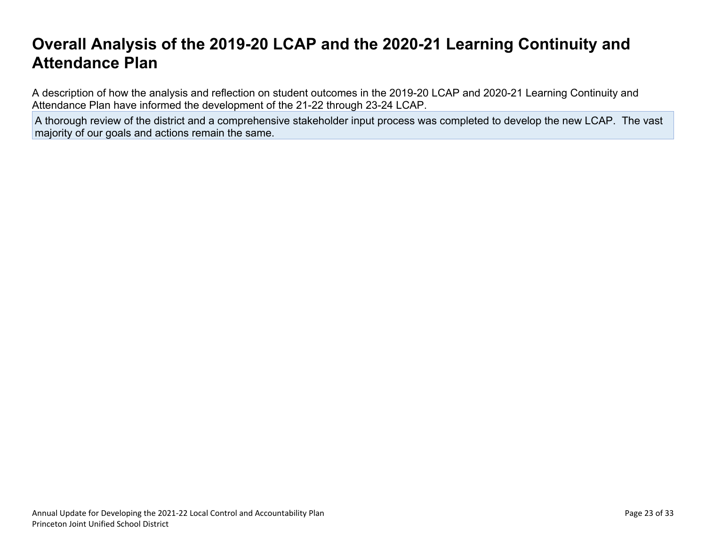### **Overall Analysis of the 2019-20 LCAP and the 2020-21 Learning Continuity and Attendance Plan**

A description of how the analysis and reflection on student outcomes in the 2019-20 LCAP and 2020-21 Learning Continuity and Attendance Plan have informed the development of the 21-22 through 23-24 LCAP.

A thorough review of the district and a comprehensive stakeholder input process was completed to develop the new LCAP. The vast majority of our goals and actions remain the same.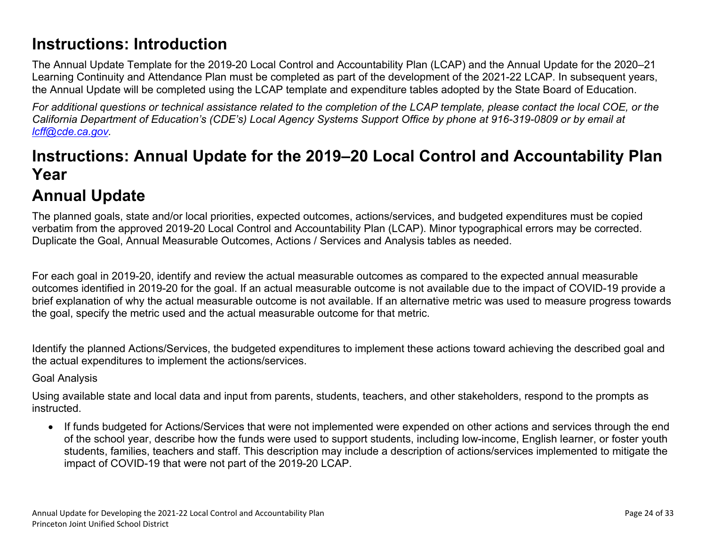## **Instructions: Introduction**

The Annual Update Template for the 2019-20 Local Control and Accountability Plan (LCAP) and the Annual Update for the 2020–21 Learning Continuity and Attendance Plan must be completed as part of the development of the 2021-22 LCAP. In subsequent years, the Annual Update will be completed using the LCAP template and expenditure tables adopted by the State Board of Education.

For additional questions or technical assistance related to the completion of the LCAP template, please contact the local COE, or the California Department of Education's (CDE's) Local Agency Systems Support Office by phone at 916-319-0809 or by email at *lcff@cde.ca.gov.*

## **Instructions: Annual Update for the 2019–20 Local Control and Accountability Plan Year**

# **Annual Update**

The planned goals, state and/or local priorities, expected outcomes, actions/services, and budgeted expenditures must be copied verbatim from the approved 2019-20 Local Control and Accountability Plan (LCAP). Minor typographical errors may be corrected. Duplicate the Goal, Annual Measurable Outcomes, Actions / Services and Analysis tables as needed.

For each goal in 2019-20, identify and review the actual measurable outcomes as compared to the expected annual measurable outcomes identified in 2019-20 for the goal. If an actual measurable outcome is not available due to the impact of COVID-19 provide a brief explanation of why the actual measurable outcome is not available. If an alternative metric was used to measure progress towards the goal, specify the metric used and the actual measurable outcome for that metric.

Identify the planned Actions/Services, the budgeted expenditures to implement these actions toward achieving the described goal and the actual expenditures to implement the actions/services.

#### Goal Analysis

Using available state and local data and input from parents, students, teachers, and other stakeholders, respond to the prompts as instructed.

 If funds budgeted for Actions/Services that were not implemented were expended on other actions and services through the end of the school year, describe how the funds were used to support students, including low-income, English learner, or foster youth students, families, teachers and staff. This description may include a description of actions/services implemented to mitigate the impact of COVID-19 that were not part of the 2019-20 LCAP.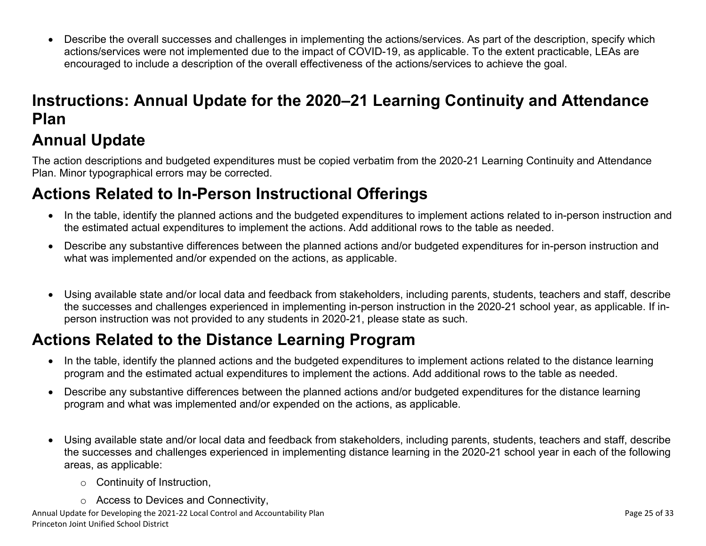Describe the overall successes and challenges in implementing the actions/services. As part of the description, specify which actions/services were not implemented due to the impact of COVID-19, as applicable. To the extent practicable, LEAs are encouraged to include a description of the overall effectiveness of the actions/services to achieve the goal.

# **Instructions: Annual Update for the 2020–21 Learning Continuity and Attendance Plan**

# **Annual Update**

The action descriptions and budgeted expenditures must be copied verbatim from the 2020-21 Learning Continuity and Attendance Plan. Minor typographical errors may be corrected.

## **Actions Related to In-Person Instructional Offerings**

- In the table, identify the planned actions and the budgeted expenditures to implement actions related to in-person instruction and the estimated actual expenditures to implement the actions. Add additional rows to the table as needed.
- Describe any substantive differences between the planned actions and/or budgeted expenditures for in-person instruction and what was implemented and/or expended on the actions, as applicable.
- Using available state and/or local data and feedback from stakeholders, including parents, students, teachers and staff, describe the successes and challenges experienced in implementing in-person instruction in the 2020-21 school year, as applicable. If inperson instruction was not provided to any students in 2020-21, please state as such.

## **Actions Related to the Distance Learning Program**

- In the table, identify the planned actions and the budgeted expenditures to implement actions related to the distance learning program and the estimated actual expenditures to implement the actions. Add additional rows to the table as needed.
- Describe any substantive differences between the planned actions and/or budgeted expenditures for the distance learning program and what was implemented and/or expended on the actions, as applicable.
- Using available state and/or local data and feedback from stakeholders, including parents, students, teachers and staff, describe the successes and challenges experienced in implementing distance learning in the 2020-21 school year in each of the following areas, as applicable:
	- o Continuity of Instruction,
	- o Access to Devices and Connectivity,

Annual Update for Developing the 2021-22 Local Control and Accountability Plan Page 25 of 33 Princeton Joint Unified School District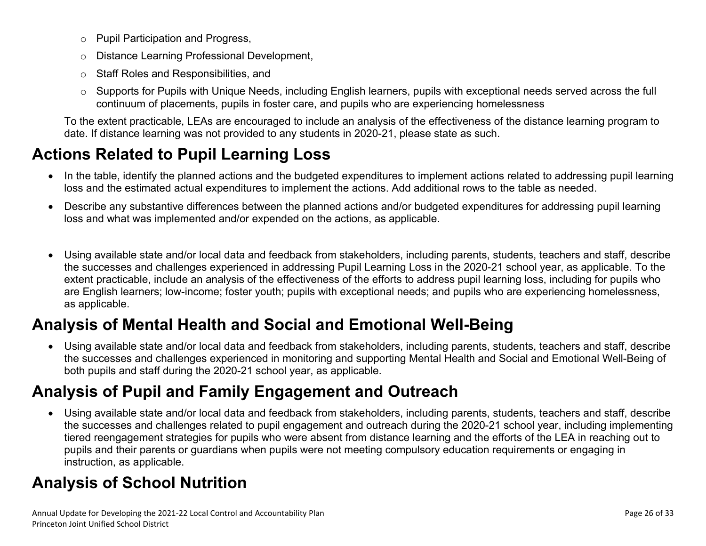- o Pupil Participation and Progress,
- o Distance Learning Professional Development,
- o Staff Roles and Responsibilities, and
- o Supports for Pupils with Unique Needs, including English learners, pupils with exceptional needs served across the full continuum of placements, pupils in foster care, and pupils who are experiencing homelessness

To the extent practicable, LEAs are encouraged to include an analysis of the effectiveness of the distance learning program to date. If distance learning was not provided to any students in 2020-21, please state as such.

# **Actions Related to Pupil Learning Loss**

- In the table, identify the planned actions and the budgeted expenditures to implement actions related to addressing pupil learning loss and the estimated actual expenditures to implement the actions. Add additional rows to the table as needed.
- Describe any substantive differences between the planned actions and/or budgeted expenditures for addressing pupil learning loss and what was implemented and/or expended on the actions, as applicable.
- Using available state and/or local data and feedback from stakeholders, including parents, students, teachers and staff, describe the successes and challenges experienced in addressing Pupil Learning Loss in the 2020-21 school year, as applicable. To the extent practicable, include an analysis of the effectiveness of the efforts to address pupil learning loss, including for pupils who are English learners; low-income; foster youth; pupils with exceptional needs; and pupils who are experiencing homelessness, as applicable.

# **Analysis of Mental Health and Social and Emotional Well-Being**

 Using available state and/or local data and feedback from stakeholders, including parents, students, teachers and staff, describe the successes and challenges experienced in monitoring and supporting Mental Health and Social and Emotional Well-Being of both pupils and staff during the 2020-21 school year, as applicable.

# **Analysis of Pupil and Family Engagement and Outreach**

 Using available state and/or local data and feedback from stakeholders, including parents, students, teachers and staff, describe the successes and challenges related to pupil engagement and outreach during the 2020-21 school year, including implementing tiered reengagement strategies for pupils who were absent from distance learning and the efforts of the LEA in reaching out to pupils and their parents or guardians when pupils were not meeting compulsory education requirements or engaging in instruction, as applicable.

# **Analysis of School Nutrition**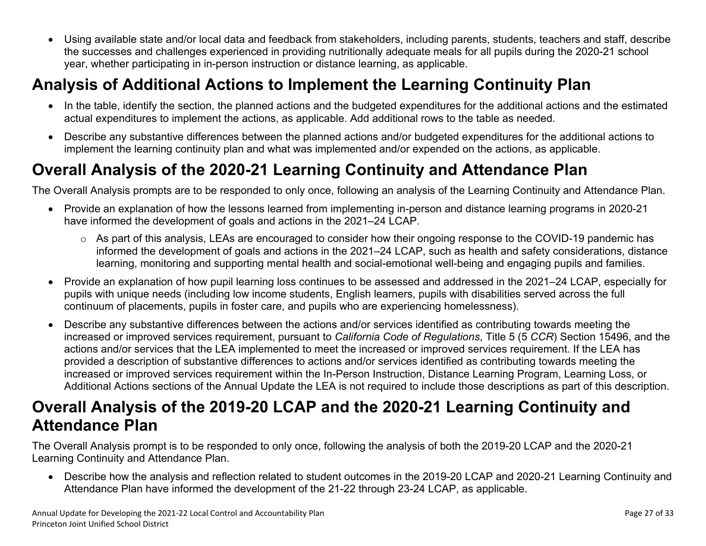Using available state and/or local data and feedback from stakeholders, including parents, students, teachers and staff, describe the successes and challenges experienced in providing nutritionally adequate meals for all pupils during the 2020-21 school year, whether participating in in-person instruction or distance learning, as applicable.

# **Analysis of Additional Actions to Implement the Learning Continuity Plan**

- In the table, identify the section, the planned actions and the budgeted expenditures for the additional actions and the estimated actual expenditures to implement the actions, as applicable. Add additional rows to the table as needed.
- Describe any substantive differences between the planned actions and/or budgeted expenditures for the additional actions to implement the learning continuity plan and what was implemented and/or expended on the actions, as applicable.

# **Overall Analysis of the 2020-21 Learning Continuity and Attendance Plan**

The Overall Analysis prompts are to be responded to only once, following an analysis of the Learning Continuity and Attendance Plan.

- Provide an explanation of how the lessons learned from implementing in-person and distance learning programs in 2020-21 have informed the development of goals and actions in the 2021–24 LCAP.
	- o As part of this analysis, LEAs are encouraged to consider how their ongoing response to the COVID-19 pandemic has informed the development of goals and actions in the 2021–24 LCAP, such as health and safety considerations, distance learning, monitoring and supporting mental health and social-emotional well-being and engaging pupils and families.
- Provide an explanation of how pupil learning loss continues to be assessed and addressed in the 2021–24 LCAP, especially for pupils with unique needs (including low income students, English learners, pupils with disabilities served across the full continuum of placements, pupils in foster care, and pupils who are experiencing homelessness).
- Describe any substantive differences between the actions and/or services identified as contributing towards meeting the increased or improved services requirement, pursuant to *California Code of Regulations*, Title 5 (5 *CCR*) Section 15496, and the actions and/or services that the LEA implemented to meet the increased or improved services requirement. If the LEA has provided a description of substantive differences to actions and/or services identified as contributing towards meeting the increased or improved services requirement within the In-Person Instruction, Distance Learning Program, Learning Loss, or Additional Actions sections of the Annual Update the LEA is not required to include those descriptions as part of this description.

## **Overall Analysis of the 2019-20 LCAP and the 2020-21 Learning Continuity and Attendance Plan**

The Overall Analysis prompt is to be responded to only once, following the analysis of both the 2019-20 LCAP and the 2020-21 Learning Continuity and Attendance Plan.

 Describe how the analysis and reflection related to student outcomes in the 2019-20 LCAP and 2020-21 Learning Continuity and Attendance Plan have informed the development of the 21-22 through 23-24 LCAP, as applicable.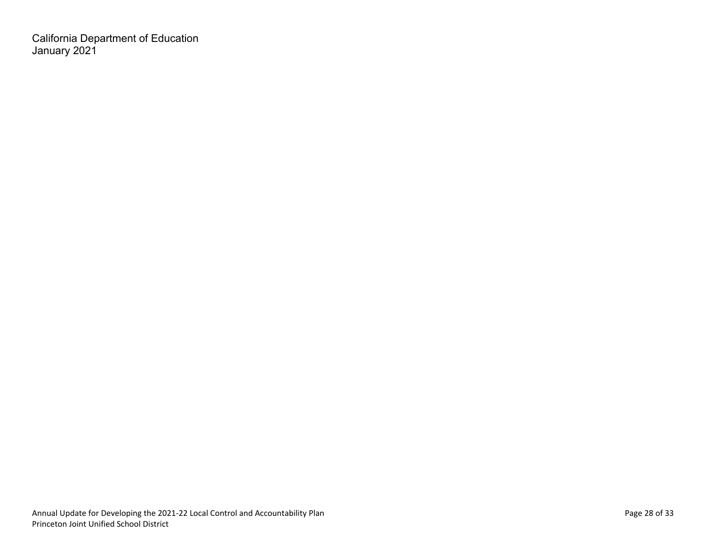California Department of Education January 2021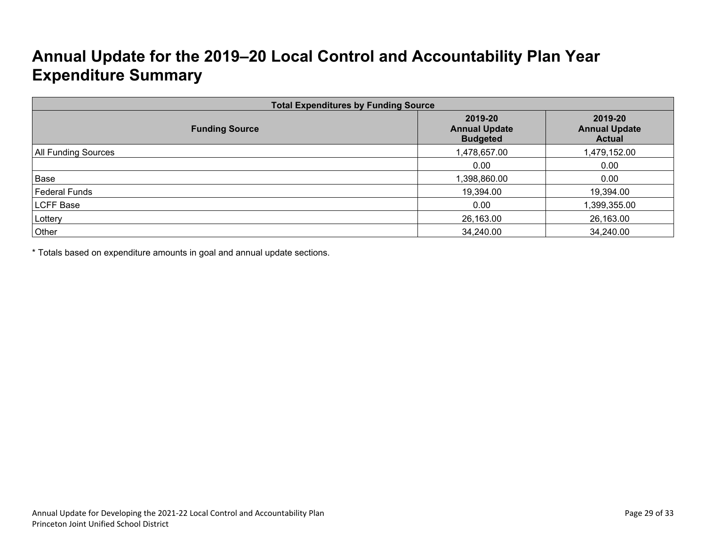# **Annual Update for the 2019–20 Local Control and Accountability Plan Year Expenditure Summary**

| <b>Total Expenditures by Funding Source</b> |                                                    |                                                  |  |
|---------------------------------------------|----------------------------------------------------|--------------------------------------------------|--|
| <b>Funding Source</b>                       | 2019-20<br><b>Annual Update</b><br><b>Budgeted</b> | 2019-20<br><b>Annual Update</b><br><b>Actual</b> |  |
| <b>All Funding Sources</b>                  | 1,478,657.00                                       | 1,479,152.00                                     |  |
|                                             | 0.00                                               | 0.00                                             |  |
| Base                                        | 1,398,860.00                                       | 0.00                                             |  |
| <b>Federal Funds</b>                        | 19,394.00                                          | 19,394.00                                        |  |
| LCFF Base                                   | 0.00                                               | 1,399,355.00                                     |  |
| Lottery                                     | 26,163.00                                          | 26,163.00                                        |  |
| Other                                       | 34,240.00                                          | 34,240.00                                        |  |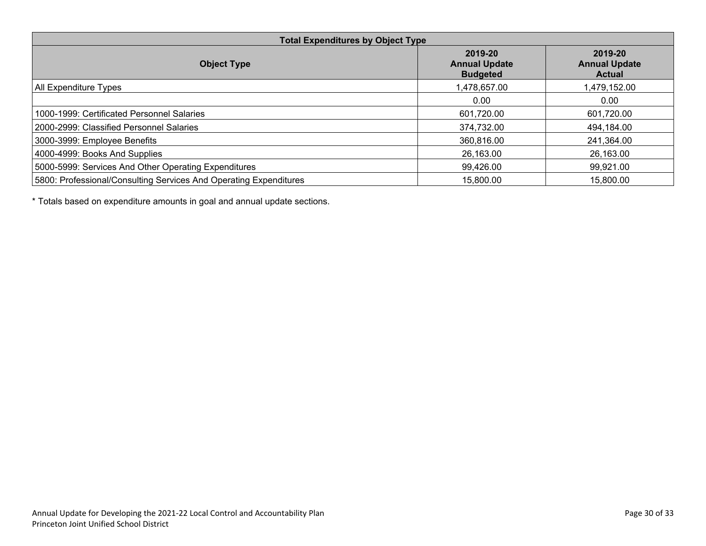| <b>Total Expenditures by Object Type</b>                          |                                                    |                                                  |  |
|-------------------------------------------------------------------|----------------------------------------------------|--------------------------------------------------|--|
| <b>Object Type</b>                                                | 2019-20<br><b>Annual Update</b><br><b>Budgeted</b> | 2019-20<br><b>Annual Update</b><br><b>Actual</b> |  |
| All Expenditure Types                                             | 1,478,657.00                                       | ,479,152.00                                      |  |
|                                                                   | 0.00                                               | 0.00                                             |  |
| 1000-1999: Certificated Personnel Salaries                        | 601,720.00                                         | 601,720.00                                       |  |
| 2000-2999: Classified Personnel Salaries                          | 374,732.00                                         | 494,184.00                                       |  |
| 3000-3999: Employee Benefits                                      | 360,816.00                                         | 241,364.00                                       |  |
| 4000-4999: Books And Supplies                                     | 26,163.00                                          | 26,163.00                                        |  |
| 5000-5999: Services And Other Operating Expenditures              | 99,426.00                                          | 99,921.00                                        |  |
| 5800: Professional/Consulting Services And Operating Expenditures | 15,800.00                                          | 15,800.00                                        |  |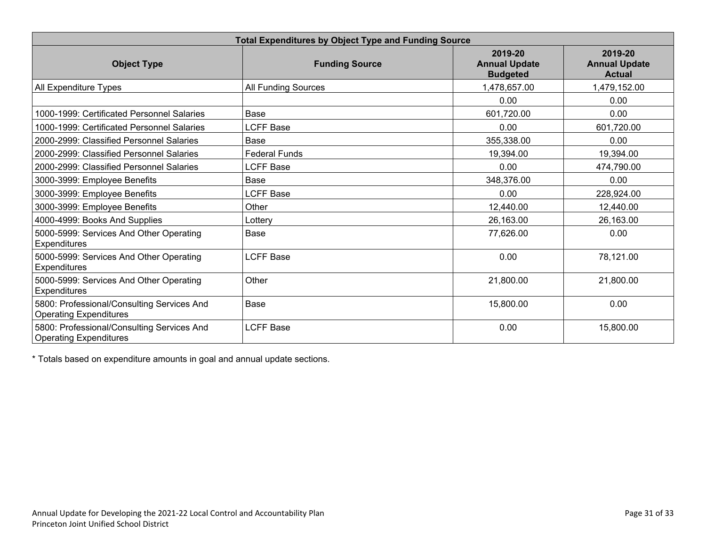| <b>Total Expenditures by Object Type and Funding Source</b>                 |                       |                                                    |                                                  |
|-----------------------------------------------------------------------------|-----------------------|----------------------------------------------------|--------------------------------------------------|
| <b>Object Type</b>                                                          | <b>Funding Source</b> | 2019-20<br><b>Annual Update</b><br><b>Budgeted</b> | 2019-20<br><b>Annual Update</b><br><b>Actual</b> |
| All Expenditure Types                                                       | All Funding Sources   | 1,478,657.00                                       | 1,479,152.00                                     |
|                                                                             |                       | 0.00                                               | 0.00                                             |
| 1000-1999: Certificated Personnel Salaries                                  | Base                  | 601,720.00                                         | 0.00                                             |
| 1000-1999: Certificated Personnel Salaries                                  | <b>LCFF Base</b>      | 0.00                                               | 601,720.00                                       |
| 2000-2999: Classified Personnel Salaries                                    | Base                  | 355,338.00                                         | 0.00                                             |
| 2000-2999: Classified Personnel Salaries                                    | <b>Federal Funds</b>  | 19,394.00                                          | 19,394.00                                        |
| 2000-2999: Classified Personnel Salaries                                    | <b>LCFF Base</b>      | 0.00                                               | 474,790.00                                       |
| 3000-3999: Employee Benefits                                                | Base                  | 348,376.00                                         | 0.00                                             |
| 3000-3999: Employee Benefits                                                | <b>LCFF Base</b>      | 0.00                                               | 228,924.00                                       |
| 3000-3999: Employee Benefits                                                | Other                 | 12,440.00                                          | 12,440.00                                        |
| 4000-4999: Books And Supplies                                               | Lottery               | 26,163.00                                          | 26,163.00                                        |
| 5000-5999: Services And Other Operating<br><b>Expenditures</b>              | Base                  | 77,626.00                                          | 0.00                                             |
| 5000-5999: Services And Other Operating<br><b>Expenditures</b>              | <b>LCFF Base</b>      | 0.00                                               | 78,121.00                                        |
| 5000-5999: Services And Other Operating<br><b>Expenditures</b>              | Other                 | 21,800.00                                          | 21,800.00                                        |
| 5800: Professional/Consulting Services And<br><b>Operating Expenditures</b> | Base                  | 15,800.00                                          | 0.00                                             |
| 5800: Professional/Consulting Services And<br><b>Operating Expenditures</b> | <b>LCFF Base</b>      | 0.00                                               | 15,800.00                                        |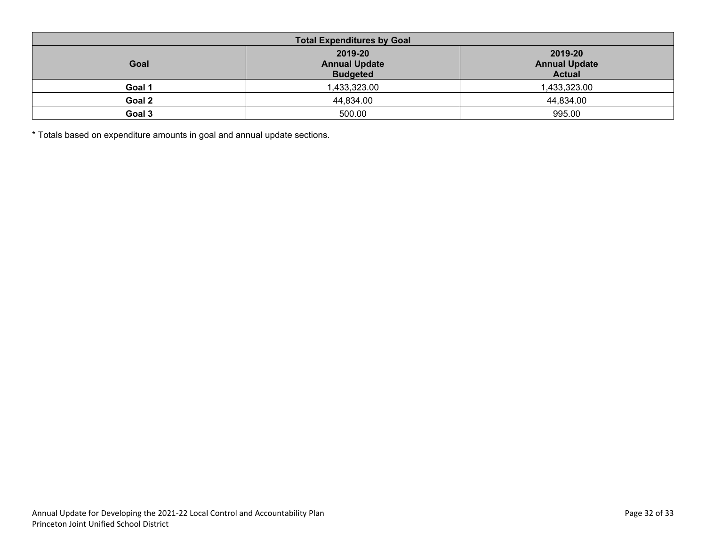| <b>Total Expenditures by Goal</b> |                                                    |                                                  |  |
|-----------------------------------|----------------------------------------------------|--------------------------------------------------|--|
| Goal                              | 2019-20<br><b>Annual Update</b><br><b>Budgeted</b> | 2019-20<br><b>Annual Update</b><br><b>Actual</b> |  |
| Goal 1                            | 1,433,323.00                                       | 1,433,323.00                                     |  |
| Goal 2                            | 44,834.00                                          | 44,834.00                                        |  |
| Goal 3                            | 500.00                                             | 995.00                                           |  |